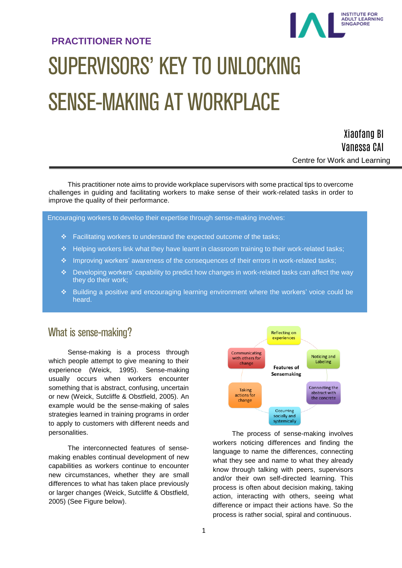# **PRACTITIONER NOTE** SUPERVISORS' KEY TO UNLOCKING SENSE-MAKING AT WORKPLACE



**INSTITUTE FOR** INSTITUTE FOR<br>ADULT LEARNING<br>SINGAPORE

This practitioner note aims to provide workplace supervisors with some practical tips to overcome challenges in guiding and facilitating workers to make sense of their work-related tasks in order to improve the quality of their performance.

Encouraging workers to develop their expertise through sense-making involves:

- $\div$  Facilitating workers to understand the expected outcome of the tasks;
- Helping workers link what they have learnt in classroom training to their work-related tasks;
- \* Improving workers' awareness of the consequences of their errors in work-related tasks;
- $\div$  Developing workers' capability to predict how changes in work-related tasks can affect the way they do their work;
- Building a positive and encouraging learning environment where the workers' voice could be heard.

## What is sense-making?

Sense-making is a process through which people attempt to give meaning to their experience (Weick, 1995). Sense-making usually occurs when workers encounter something that is abstract, confusing, uncertain or new (Weick, Sutcliffe & Obstfield, 2005). An example would be the sense-making of sales strategies learned in training programs in order to apply to customers with different needs and personalities.

The interconnected features of sensemaking enables continual development of new capabilities as workers continue to encounter new circumstances, whether they are small differences to what has taken place previously or larger changes (Weick, Sutcliffe & Obstfield, 2005) (See Figure below).



The process of sense-making involves workers noticing differences and finding the language to name the differences, connecting what they see and name to what they already know through talking with peers, supervisors and/or their own self-directed learning. This process is often about decision making, taking action, interacting with others, seeing what difference or impact their actions have. So the process is rather social, spiral and continuous.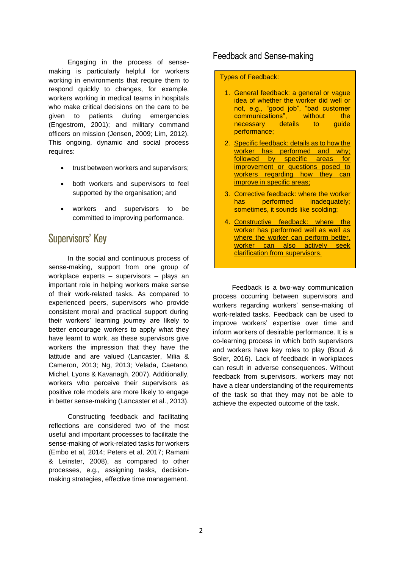Engaging in the process of sensemaking is particularly helpful for workers working in environments that require them to respond quickly to changes, for example, workers working in medical teams in hospitals who make critical decisions on the care to be given to patients during emergencies (Engestrom, 2001); and military command officers on mission (Jensen, 2009; Lim, 2012). This ongoing, dynamic and social process requires:

- trust between workers and supervisors;
- both workers and supervisors to feel supported by the organisation; and
- workers and supervisors to be committed to improving performance.

## Supervisors' Key

In the social and continuous process of sense-making, support from one group of workplace experts – supervisors – plays an important role in helping workers make sense of their work-related tasks. As compared to experienced peers, supervisors who provide consistent moral and practical support during their workers' learning journey are likely to better encourage workers to apply what they have learnt to work, as these supervisors give workers the impression that they have the latitude and are valued (Lancaster, Milia & Cameron, 2013; Ng, 2013; Velada, Caetano, Michel, Lyons & Kavanagh, 2007). Additionally, workers who perceive their supervisors as positive role models are more likely to engage in better sense-making (Lancaster et al., 2013).

Constructing feedback and facilitating reflections are considered two of the most useful and important processes to facilitate the sense-making of work-related tasks for workers (Embo et al, 2014; Peters et al, 2017; Ramani & Leinster, 2008), as compared to other processes, e.g., assigning tasks, decisionmaking strategies, effective time management.

### Feedback and Sense-making

#### Types of Feedback:

- 1. General feedback: a general or vague idea of whether the worker did well or not, e.g., "good job", "bad customer communications", without the necessary details to guide performance;
- 2. Specific feedback: details as to how the worker has performed and why; followed by specific areas for improvement or questions posed to workers regarding how they can improve in specific areas;
- 3. Corrective feedback: where the worker has performed inadequately; sometimes, it sounds like scolding;
- 4. Constructive feedback: where the worker has performed well as well as where the worker can perform better, worker can also actively seek clarification from supervisors.

Feedback is a two-way communication process occurring between supervisors and workers regarding workers' sense-making of work-related tasks. Feedback can be used to improve workers' expertise over time and inform workers of desirable performance. It is a co-learning process in which both supervisors and workers have key roles to play (Boud & Soler, 2016). Lack of feedback in workplaces can result in adverse consequences. Without feedback from supervisors, workers may not have a clear understanding of the requirements of the task so that they may not be able to achieve the expected outcome of the task.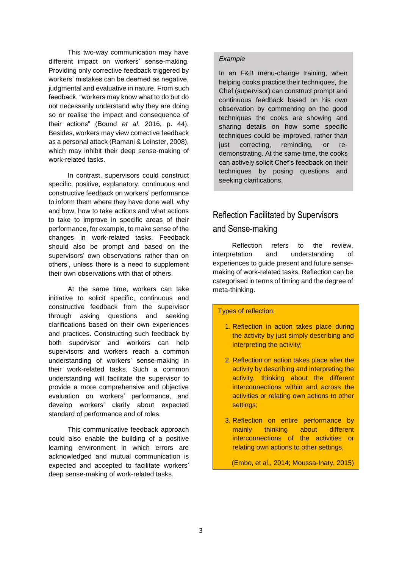This two-way communication may have different impact on workers' sense-making. Providing only corrective feedback triggered by workers' mistakes can be deemed as negative. judgmental and evaluative in nature. From such feedback, "workers may know what to do but do not necessarily understand why they are doing so or realise the impact and consequence of their actions" (Bound *et al*, 2016, p. 44). Besides, workers may view corrective feedback as a personal attack (Ramani & Leinster, 2008), which may inhibit their deep sense-making of work-related tasks.

In contrast, supervisors could construct specific, positive, explanatory, continuous and constructive feedback on workers' performance to inform them where they have done well, why and how, how to take actions and what actions to take to improve in specific areas of their performance, for example, to make sense of the changes in work-related tasks. Feedback should also be prompt and based on the supervisors' own observations rather than on others', unless there is a need to supplement their own observations with that of others.

At the same time, workers can take initiative to solicit specific, continuous and constructive feedback from the supervisor through asking questions and seeking clarifications based on their own experiences and practices. Constructing such feedback by both supervisor and workers can help supervisors and workers reach a common understanding of workers' sense-making in their work-related tasks. Such a common understanding will facilitate the supervisor to provide a more comprehensive and objective evaluation on workers' performance, and develop workers' clarity about expected standard of performance and of roles.

This communicative feedback approach could also enable the building of a positive learning environment in which errors are acknowledged and mutual communication is expected and accepted to facilitate workers' deep sense-making of work-related tasks.

#### *Example*

In an F&B menu-change training, when helping cooks practice their techniques, the Chef (supervisor) can construct prompt and continuous feedback based on his own observation by commenting on the good techniques the cooks are showing and sharing details on how some specific techniques could be improved, rather than just correcting, reminding, or redemonstrating. At the same time, the cooks can actively solicit Chef's feedback on their techniques by posing questions and seeking clarifications.

## Reflection Facilitated by Supervisors and Sense-making

Reflection refers to the review, interpretation and understanding of experiences to guide present and future sensemaking of work-related tasks. Reflection can be categorised in terms of timing and the degree of meta-thinking.

#### Types of reflection:

- 1. Reflection in action takes place during the activity by just simply describing and interpreting the activity;
- 2. Reflection on action takes place after the activity by describing and interpreting the activity, thinking about the different interconnections within and across the activities or relating own actions to other settings;
- 3. Reflection on entire performance by mainly thinking about different interconnections of the activities or relating own actions to other settings.

(Embo, et al., 2014; Moussa-Inaty, 2015)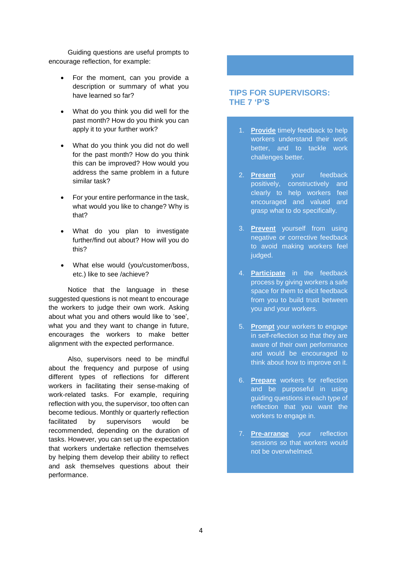Guiding questions are useful prompts to encourage reflection, for example:

- For the moment, can you provide a description or summary of what you have learned so far?
- What do you think you did well for the past month? How do you think you can apply it to your further work?
- What do you think you did not do well for the past month? How do you think this can be improved? How would you address the same problem in a future similar task?
- For your entire performance in the task, what would you like to change? Why is that?
- What do you plan to investigate further/find out about? How will you do this?
- What else would (you/customer/boss, etc.) like to see /achieve?

Notice that the language in these suggested questions is not meant to encourage the workers to judge their own work. Asking about what you and others would like to 'see', what you and they want to change in future, encourages the workers to make better alignment with the expected performance.

Also, supervisors need to be mindful about the frequency and purpose of using different types of reflections for different workers in facilitating their sense-making of work-related tasks. For example, requiring reflection with you, the supervisor, too often can become tedious. Monthly or quarterly reflection facilitated by supervisors would be recommended, depending on the duration of tasks. However, you can set up the expectation that workers undertake reflection themselves by helping them develop their ability to reflect and ask themselves questions about their performance.

#### **TIPS FOR SUPERVISORS: THE 7 'P'S**

- 1. **Provide** timely feedback to help workers understand their work better, and to tackle work challenges better.
- 2. **Present** your feedback positively, constructively and clearly to help workers feel encouraged and valued and grasp what to do specifically.
- 3. **Prevent** yourself from using negative or corrective feedback to avoid making workers feel judged.
- 4. **Participate** in the feedback process by giving workers a safe space for them to elicit feedback from you to build trust between you and your workers.
- 5. **Prompt** your workers to engage in self-reflection so that they are aware of their own performance and would be encouraged to think about how to improve on it.
- 6. **Prepare** workers for reflection and be purposeful in using guiding questions in each type of reflection that you want the workers to engage in.
- 7. **Pre-arrange** your reflection sessions so that workers would not be overwhelmed.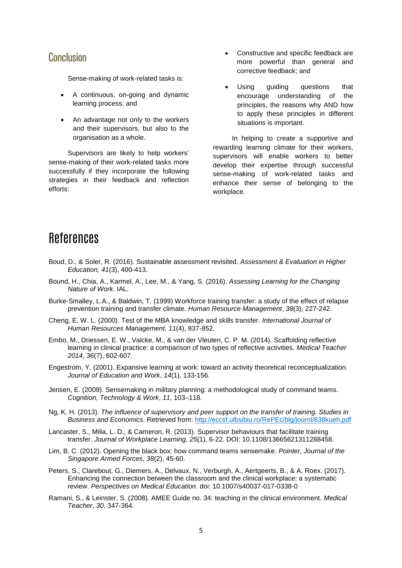## **Conclusion**

Sense-making of work-related tasks is:

- A continuous, on-going and dynamic learning process; and
- An advantage not only to the workers and their supervisors, but also to the organisation as a whole.

Supervisors are likely to help workers' sense-making of their work-related tasks more successfully if they incorporate the following strategies in their feedback and reflection efforts:

- Constructive and specific feedback are more powerful than general and corrective feedback; and
- Using guiding questions that encourage understanding of the principles, the reasons why AND how to apply these principles in different situations is important.

In helping to create a supportive and rewarding learning climate for their workers, supervisors will enable workers to better develop their expertise through successful sense-making of work-related tasks and enhance their sense of belonging to the workplace.

## References

- Boud, D., & Soler, R. (2016). Sustainable assessment revisited. *Assessment & Evaluation in Higher Education, 41*(3), 400-413.
- Bound, H., Chia, A., Karmel, A., Lee, M., & Yang, S. (2016). *Assessing Learning for the Changing Nature of Work*. IAL.
- Burke-Smalley, L.A., & Baldwin, T. (1999) Workforce training transfer: a study of the effect of relapse prevention training and transfer climate. *Human Resource Management*, *38*(3), 227-242.
- Cheng, E. W. L. (2000). Test of the MBA knowledge and skills transfer. *International Journal of Human Resources Management*, *11*(4), 837-852.
- Embo, M., Driessen, E. W., Valcke, M., & van der Vleuten, C. P. M. (2014). Scaffolding reflective learning in clinical practice: a comparison of two types of reflective activities. *Medical Teacher 2014*, *36*(7), 602-607.
- Engestrom, Y. (2001). Expansive learning at work: toward an activity theoretical reconceptualization. *Journal of Education and Work*, *14*(1), 133-156.
- Jensen, E. (2009). Sensemaking in military planning: a methodological study of command teams. *Cognition, Technology & Work*, *11*, 103–118.
- Ng, K. H. (2013). *The influence of supervisory and peer support on the transfer of training. Studies in Business and Economics*. Retrieved from:<http://eccsf.ulbsibiu.ro/RePEc/blg/journl/838kueh.pdf>
- Lancaster, S., Milia, L. D., & Cameron, R. (2013). Supervisor behaviours that facilitate training transfer. *Journal of Workplace Learning, 25*(1), 6-22. DOI: 10.1108/13665621311288458.
- Lim, B. C. (2012). Opening the black box: how command teams sensemake. *Pointer, Journal of the Singapore Armed Forces, 38*(2), 45-60.
- Peters, S., Clarebout, G., Diemers, A., Delvaux, N., Verburgh, A., Aertgeerts, B., & A, Roex. (2017). Enhancing the connection between the classroom and the clinical workplace: a systematic review. *Perspectives on Medical Education*. doi: 10.1007/s40037-017-0338-0
- Ramani, S., & Leinster, S. (2008). AMEE Guide no. 34: teaching in the clinical environment. *Medical Teacher*, *30*, 347-364.